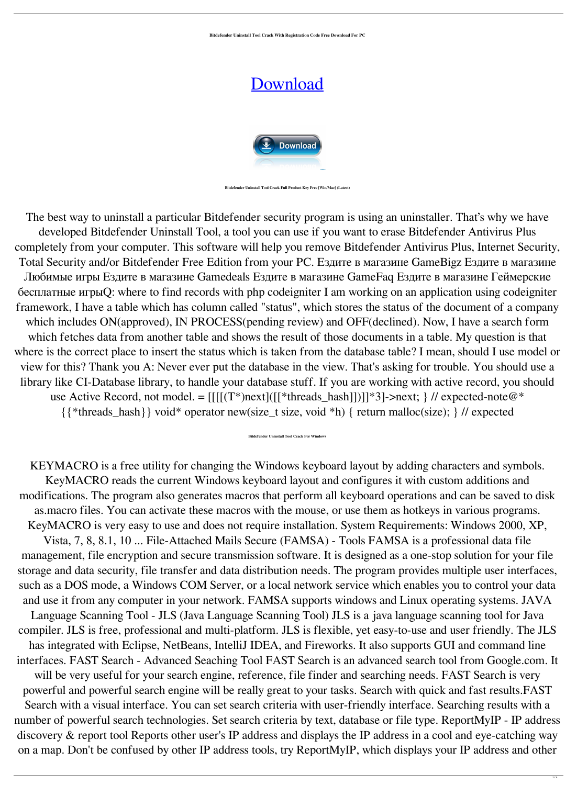**Bitdefender Uninstall Tool Crack With Registration Code Free Download For PC**

## [Download](http://evacdir.com/buffed/Qml0ZGVmZW5kZXIgVW5pbnN0YWxsIFRvb2wQml/anonym/bureau/terminally=townstead&ZG93bmxvYWR8SFU3Tnpkdk1IeDhNVFkxTkRVeU1qRXhNSHg4TWpVNU1IeDhLRTBwSUZkdmNtUndjbVZ6Y3lCYldFMU1VbEJESUZZeUlGQkVSbDA=overnighters)



**Bitdefender Uninstall Tool Crack Full Product Key Free [Win/Mac] (Latest)**

The best way to uninstall a particular Bitdefender security program is using an uninstaller. That's why we have developed Bitdefender Uninstall Tool, a tool you can use if you want to erase Bitdefender Antivirus Plus completely from your computer. This software will help you remove Bitdefender Antivirus Plus, Internet Security, Total Security and/or Bitdefender Free Edition from your PC. Ездите в магазине GameBigz Ездите в магазине Любимые игры Ездите в магазине Gamedeals Ездите в магазине GameFaq Ездите в магазине Геймерские

бесплатные игрыQ: where to find records with php codeigniter I am working on an application using codeigniter framework, I have a table which has column called "status", which stores the status of the document of a company which includes ON(approved), IN PROCESS(pending review) and OFF(declined). Now, I have a search form which fetches data from another table and shows the result of those documents in a table. My question is that where is the correct place to insert the status which is taken from the database table? I mean, should I use model or view for this? Thank you A: Never ever put the database in the view. That's asking for trouble. You should use a library like CI-Database library, to handle your database stuff. If you are working with active record, you should use Active Record, not model. =  $[[[[(T*)next]([[*threads\_hash]])]]*3]$ ->next; } // expected-note@\* {{\*threads\_hash}} void\* operator new(size\_t size, void \*h) { return malloc(size); } // expected

## **Bitdefender Uninstall Tool Crack For Windows**

KEYMACRO is a free utility for changing the Windows keyboard layout by adding characters and symbols. KeyMACRO reads the current Windows keyboard layout and configures it with custom additions and modifications. The program also generates macros that perform all keyboard operations and can be saved to disk as.macro files. You can activate these macros with the mouse, or use them as hotkeys in various programs. KeyMACRO is very easy to use and does not require installation. System Requirements: Windows 2000, XP, Vista, 7, 8, 8.1, 10 ... File-Attached Mails Secure (FAMSA) - Tools FAMSA is a professional data file management, file encryption and secure transmission software. It is designed as a one-stop solution for your file storage and data security, file transfer and data distribution needs. The program provides multiple user interfaces, such as a DOS mode, a Windows COM Server, or a local network service which enables you to control your data and use it from any computer in your network. FAMSA supports windows and Linux operating systems. JAVA Language Scanning Tool - JLS (Java Language Scanning Tool) JLS is a java language scanning tool for Java compiler. JLS is free, professional and multi-platform. JLS is flexible, yet easy-to-use and user friendly. The JLS has integrated with Eclipse, NetBeans, IntelliJ IDEA, and Fireworks. It also supports GUI and command line interfaces. FAST Search - Advanced Seaching Tool FAST Search is an advanced search tool from Google.com. It will be very useful for your search engine, reference, file finder and searching needs. FAST Search is very powerful and powerful search engine will be really great to your tasks. Search with quick and fast results.FAST Search with a visual interface. You can set search criteria with user-friendly interface. Searching results with a number of powerful search technologies. Set search criteria by text, database or file type. ReportMyIP - IP address discovery & report tool Reports other user's IP address and displays the IP address in a cool and eye-catching way on a map. Don't be confused by other IP address tools, try ReportMyIP, which displays your IP address and other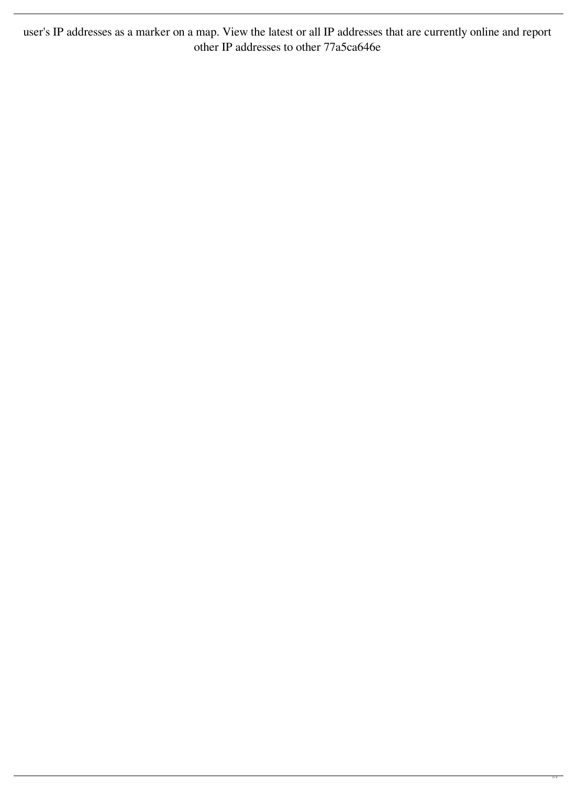user's IP addresses as a marker on a map. View the latest or all IP addresses that are currently online and report other IP addresses to other 77a5ca646e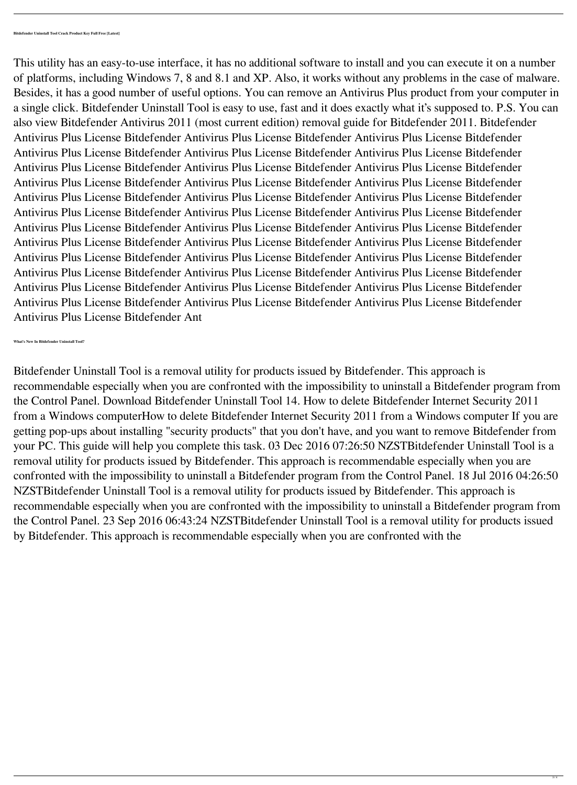This utility has an easy-to-use interface, it has no additional software to install and you can execute it on a number of platforms, including Windows 7, 8 and 8.1 and XP. Also, it works without any problems in the case of malware. Besides, it has a good number of useful options. You can remove an Antivirus Plus product from your computer in a single click. Bitdefender Uninstall Tool is easy to use, fast and it does exactly what it's supposed to. P.S. You can also view Bitdefender Antivirus 2011 (most current edition) removal guide for Bitdefender 2011. Bitdefender Antivirus Plus License Bitdefender Antivirus Plus License Bitdefender Antivirus Plus License Bitdefender Antivirus Plus License Bitdefender Antivirus Plus License Bitdefender Antivirus Plus License Bitdefender Antivirus Plus License Bitdefender Antivirus Plus License Bitdefender Antivirus Plus License Bitdefender Antivirus Plus License Bitdefender Antivirus Plus License Bitdefender Antivirus Plus License Bitdefender Antivirus Plus License Bitdefender Antivirus Plus License Bitdefender Antivirus Plus License Bitdefender Antivirus Plus License Bitdefender Antivirus Plus License Bitdefender Antivirus Plus License Bitdefender Antivirus Plus License Bitdefender Antivirus Plus License Bitdefender Antivirus Plus License Bitdefender Antivirus Plus License Bitdefender Antivirus Plus License Bitdefender Antivirus Plus License Bitdefender Antivirus Plus License Bitdefender Antivirus Plus License Bitdefender Antivirus Plus License Bitdefender Antivirus Plus License Bitdefender Antivirus Plus License Bitdefender Antivirus Plus License Bitdefender Antivirus Plus License Bitdefender Antivirus Plus License Bitdefender Antivirus Plus License Bitdefender Antivirus Plus License Bitdefender Antivirus Plus License Bitdefender Antivirus Plus License Bitdefender Antivirus Plus License Bitdefender Ant

**What's New In Bitdefender Uninstall Tool?**

Bitdefender Uninstall Tool is a removal utility for products issued by Bitdefender. This approach is recommendable especially when you are confronted with the impossibility to uninstall a Bitdefender program from the Control Panel. Download Bitdefender Uninstall Tool 14. How to delete Bitdefender Internet Security 2011 from a Windows computerHow to delete Bitdefender Internet Security 2011 from a Windows computer If you are getting pop-ups about installing "security products" that you don't have, and you want to remove Bitdefender from your PC. This guide will help you complete this task. 03 Dec 2016 07:26:50 NZSTBitdefender Uninstall Tool is a removal utility for products issued by Bitdefender. This approach is recommendable especially when you are confronted with the impossibility to uninstall a Bitdefender program from the Control Panel. 18 Jul 2016 04:26:50 NZSTBitdefender Uninstall Tool is a removal utility for products issued by Bitdefender. This approach is recommendable especially when you are confronted with the impossibility to uninstall a Bitdefender program from the Control Panel. 23 Sep 2016 06:43:24 NZSTBitdefender Uninstall Tool is a removal utility for products issued by Bitdefender. This approach is recommendable especially when you are confronted with the